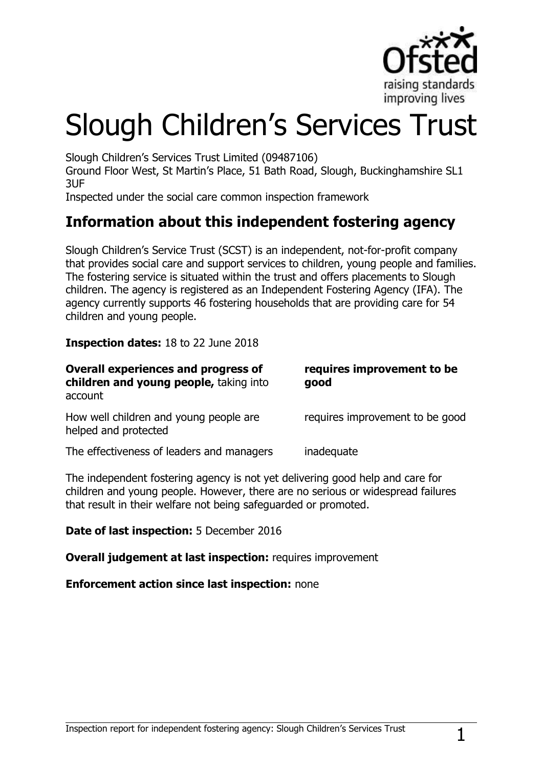

# Slough Children's Services Trust

Slough Children"s Services Trust Limited (09487106)

Ground Floor West, St Martin"s Place, 51 Bath Road, Slough, Buckinghamshire SL1 3UF

Inspected under the social care common inspection framework

## **Information about this independent fostering agency**

Slough Children"s Service Trust (SCST) is an independent, not-for-profit company that provides social care and support services to children, young people and families. The fostering service is situated within the trust and offers placements to Slough children. The agency is registered as an Independent Fostering Agency (IFA). The agency currently supports 46 fostering households that are providing care for 54 children and young people.

### **Inspection dates:** 18 to 22 June 2018

| <b>Overall experiences and progress of</b><br>children and young people, taking into<br>account | requires improvement to be<br>good |
|-------------------------------------------------------------------------------------------------|------------------------------------|
| How well children and young people are<br>helped and protected                                  | requires improvement to be good    |
| The effectiveness of leaders and managers                                                       | inadequate                         |

The independent fostering agency is not yet delivering good help and care for children and young people. However, there are no serious or widespread failures that result in their welfare not being safeguarded or promoted.

**Date of last inspection:** 5 December 2016

**Overall judgement at last inspection:** requires improvement

**Enforcement action since last inspection:** none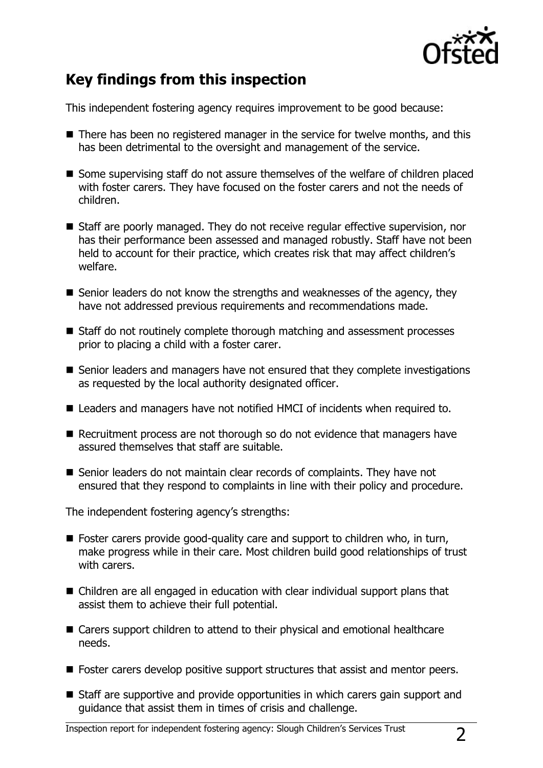

# **Key findings from this inspection**

This independent fostering agency requires improvement to be good because:

- There has been no registered manager in the service for twelve months, and this has been detrimental to the oversight and management of the service.
- Some supervising staff do not assure themselves of the welfare of children placed with foster carers. They have focused on the foster carers and not the needs of children.
- Staff are poorly managed. They do not receive regular effective supervision, nor has their performance been assessed and managed robustly. Staff have not been held to account for their practice, which creates risk that may affect children's welfare.
- Senior leaders do not know the strengths and weaknesses of the agency, they have not addressed previous requirements and recommendations made.
- Staff do not routinely complete thorough matching and assessment processes prior to placing a child with a foster carer.
- Senior leaders and managers have not ensured that they complete investigations as requested by the local authority designated officer.
- Leaders and managers have not notified HMCI of incidents when required to.
- Recruitment process are not thorough so do not evidence that managers have assured themselves that staff are suitable.
- Senior leaders do not maintain clear records of complaints. They have not ensured that they respond to complaints in line with their policy and procedure.

The independent fostering agency's strengths:

- Foster carers provide good-quality care and support to children who, in turn, make progress while in their care. Most children build good relationships of trust with carers.
- Children are all engaged in education with clear individual support plans that assist them to achieve their full potential.
- Carers support children to attend to their physical and emotional healthcare needs.
- Foster carers develop positive support structures that assist and mentor peers.
- Staff are supportive and provide opportunities in which carers gain support and guidance that assist them in times of crisis and challenge.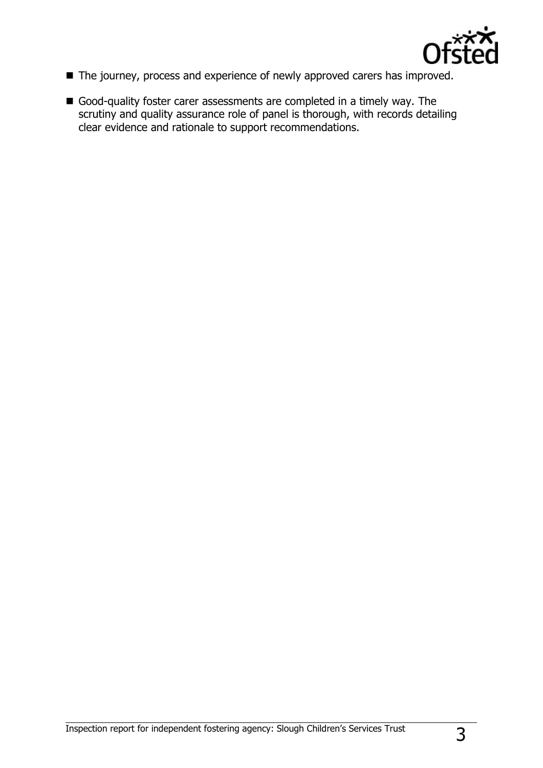

- The journey, process and experience of newly approved carers has improved.
- Good-quality foster carer assessments are completed in a timely way. The scrutiny and quality assurance role of panel is thorough, with records detailing clear evidence and rationale to support recommendations.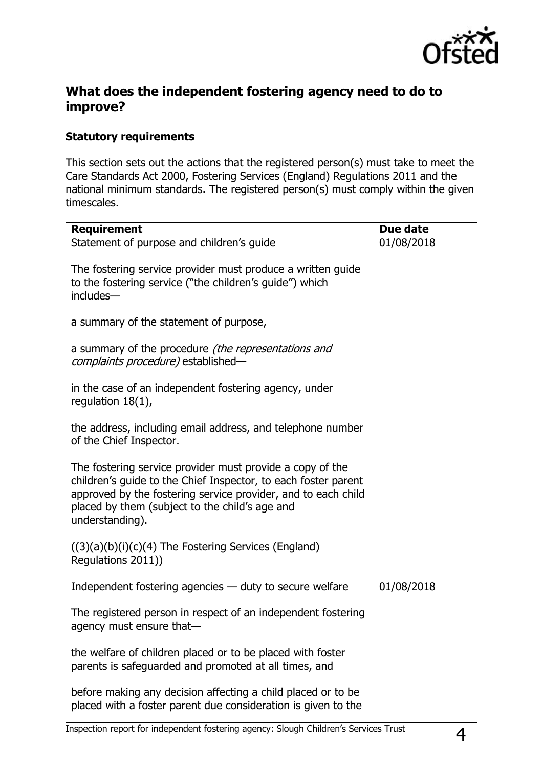

## **What does the independent fostering agency need to do to improve?**

#### **Statutory requirements**

This section sets out the actions that the registered person(s) must take to meet the Care Standards Act 2000, Fostering Services (England) Regulations 2011 and the national minimum standards. The registered person(s) must comply within the given timescales.

| <b>Requirement</b>                                                                                                                                                                                                                                                | Due date   |
|-------------------------------------------------------------------------------------------------------------------------------------------------------------------------------------------------------------------------------------------------------------------|------------|
| Statement of purpose and children's guide                                                                                                                                                                                                                         | 01/08/2018 |
| The fostering service provider must produce a written guide<br>to the fostering service ("the children's guide") which<br>includes-                                                                                                                               |            |
| a summary of the statement of purpose,                                                                                                                                                                                                                            |            |
| a summary of the procedure (the representations and<br><i>complaints procedure)</i> established-                                                                                                                                                                  |            |
| in the case of an independent fostering agency, under<br>regulation $18(1)$ ,                                                                                                                                                                                     |            |
| the address, including email address, and telephone number<br>of the Chief Inspector.                                                                                                                                                                             |            |
| The fostering service provider must provide a copy of the<br>children's guide to the Chief Inspector, to each foster parent<br>approved by the fostering service provider, and to each child<br>placed by them (subject to the child's age and<br>understanding). |            |
| $((3)(a)(b)(i)(c)(4)$ The Fostering Services (England)<br>Regulations 2011))                                                                                                                                                                                      |            |
| Independent fostering agencies - duty to secure welfare                                                                                                                                                                                                           | 01/08/2018 |
| The registered person in respect of an independent fostering<br>agency must ensure that-                                                                                                                                                                          |            |
| the welfare of children placed or to be placed with foster<br>parents is safeguarded and promoted at all times, and                                                                                                                                               |            |
| before making any decision affecting a child placed or to be<br>placed with a foster parent due consideration is given to the                                                                                                                                     |            |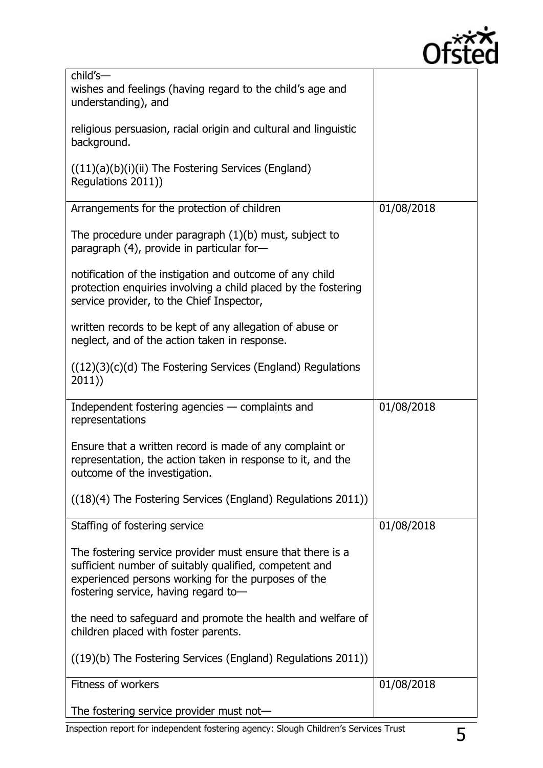

| child's-<br>wishes and feelings (having regard to the child's age and                                                                                                                                               |            |
|---------------------------------------------------------------------------------------------------------------------------------------------------------------------------------------------------------------------|------------|
| understanding), and                                                                                                                                                                                                 |            |
| religious persuasion, racial origin and cultural and linguistic<br>background.                                                                                                                                      |            |
| $((11)(a)(b)(i)(ii)$ The Fostering Services (England)<br>Regulations 2011))                                                                                                                                         |            |
| Arrangements for the protection of children                                                                                                                                                                         | 01/08/2018 |
| The procedure under paragraph $(1)(b)$ must, subject to<br>paragraph (4), provide in particular for-                                                                                                                |            |
| notification of the instigation and outcome of any child<br>protection enquiries involving a child placed by the fostering<br>service provider, to the Chief Inspector,                                             |            |
| written records to be kept of any allegation of abuse or<br>neglect, and of the action taken in response.                                                                                                           |            |
| $((12)(3)(c)(d)$ The Fostering Services (England) Regulations<br>2011)                                                                                                                                              |            |
| Independent fostering agencies - complaints and<br>representations                                                                                                                                                  | 01/08/2018 |
| Ensure that a written record is made of any complaint or<br>representation, the action taken in response to it, and the<br>outcome of the investigation.                                                            |            |
| ((18)(4) The Fostering Services (England) Regulations 2011))                                                                                                                                                        |            |
| Staffing of fostering service                                                                                                                                                                                       | 01/08/2018 |
| The fostering service provider must ensure that there is a<br>sufficient number of suitably qualified, competent and<br>experienced persons working for the purposes of the<br>fostering service, having regard to- |            |
| the need to safeguard and promote the health and welfare of<br>children placed with foster parents.                                                                                                                 |            |
| ((19)(b) The Fostering Services (England) Regulations 2011))                                                                                                                                                        |            |
| <b>Fitness of workers</b>                                                                                                                                                                                           | 01/08/2018 |
| The fostering service provider must not-                                                                                                                                                                            |            |

Inspection report for independent fostering agency: Slough Children's Services Trust 5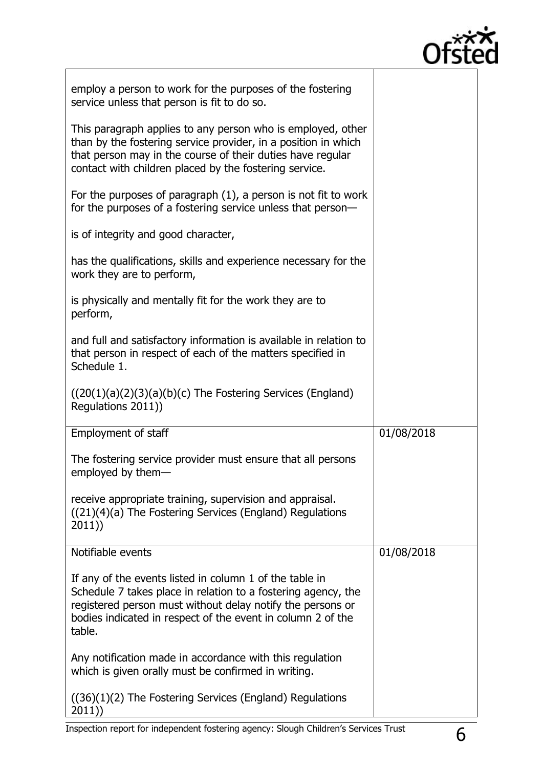

| employ a person to work for the purposes of the fostering<br>service unless that person is fit to do so.                                                                                                                                                        |            |
|-----------------------------------------------------------------------------------------------------------------------------------------------------------------------------------------------------------------------------------------------------------------|------------|
| This paragraph applies to any person who is employed, other<br>than by the fostering service provider, in a position in which<br>that person may in the course of their duties have regular<br>contact with children placed by the fostering service.           |            |
| For the purposes of paragraph $(1)$ , a person is not fit to work<br>for the purposes of a fostering service unless that person-                                                                                                                                |            |
| is of integrity and good character,                                                                                                                                                                                                                             |            |
| has the qualifications, skills and experience necessary for the<br>work they are to perform,                                                                                                                                                                    |            |
| is physically and mentally fit for the work they are to<br>perform,                                                                                                                                                                                             |            |
| and full and satisfactory information is available in relation to<br>that person in respect of each of the matters specified in<br>Schedule 1.                                                                                                                  |            |
| $((20(1)(a)(2)(3)(a)(b)(c)$ The Fostering Services (England)<br>Regulations 2011))                                                                                                                                                                              |            |
|                                                                                                                                                                                                                                                                 |            |
| <b>Employment of staff</b>                                                                                                                                                                                                                                      | 01/08/2018 |
| The fostering service provider must ensure that all persons<br>employed by them-                                                                                                                                                                                |            |
| receive appropriate training, supervision and appraisal.<br>((21)(4)(a) The Fostering Services (England) Regulations<br>2011))                                                                                                                                  |            |
| Notifiable events                                                                                                                                                                                                                                               | 01/08/2018 |
| If any of the events listed in column 1 of the table in<br>Schedule 7 takes place in relation to a fostering agency, the<br>registered person must without delay notify the persons or<br>bodies indicated in respect of the event in column 2 of the<br>table. |            |
| Any notification made in accordance with this regulation<br>which is given orally must be confirmed in writing.                                                                                                                                                 |            |

 $\sqrt{ }$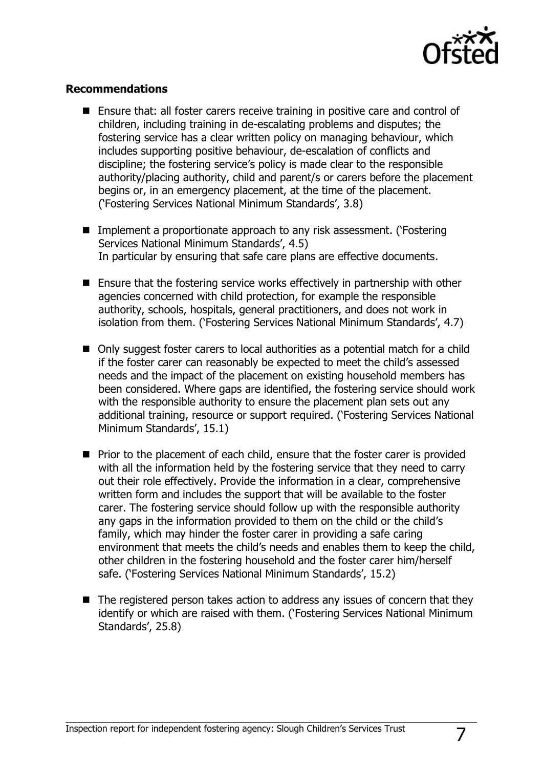

#### **Recommendations**

- Ensure that: all foster carers receive training in positive care and control of children, including training in de-escalating problems and disputes; the fostering service has a clear written policy on managing behaviour, which includes supporting positive behaviour, de-escalation of conflicts and discipline; the fostering service"s policy is made clear to the responsible authority/placing authority, child and parent/s or carers before the placement begins or, in an emergency placement, at the time of the placement. ("Fostering Services National Minimum Standards", 3.8)
- Implement a proportionate approach to any risk assessment. ('Fostering Services National Minimum Standards', 4.5) In particular by ensuring that safe care plans are effective documents.
- Ensure that the fostering service works effectively in partnership with other agencies concerned with child protection, for example the responsible authority, schools, hospitals, general practitioners, and does not work in isolation from them. ('Fostering Services National Minimum Standards', 4.7)
- Only suggest foster carers to local authorities as a potential match for a child if the foster carer can reasonably be expected to meet the child"s assessed needs and the impact of the placement on existing household members has been considered. Where gaps are identified, the fostering service should work with the responsible authority to ensure the placement plan sets out any additional training, resource or support required. ("Fostering Services National Minimum Standards', 15.1)
- $\blacksquare$  Prior to the placement of each child, ensure that the foster carer is provided with all the information held by the fostering service that they need to carry out their role effectively. Provide the information in a clear, comprehensive written form and includes the support that will be available to the foster carer. The fostering service should follow up with the responsible authority any gaps in the information provided to them on the child or the child's family, which may hinder the foster carer in providing a safe caring environment that meets the child"s needs and enables them to keep the child, other children in the fostering household and the foster carer him/herself safe. ('Fostering Services National Minimum Standards', 15.2)
- The registered person takes action to address any issues of concern that they identify or which are raised with them. ("Fostering Services National Minimum Standards', 25.8)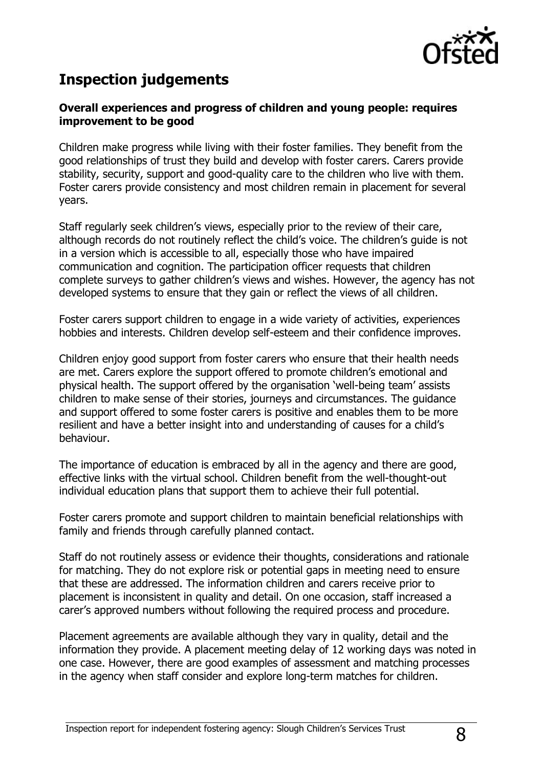

# **Inspection judgements**

#### **Overall experiences and progress of children and young people: requires improvement to be good**

Children make progress while living with their foster families. They benefit from the good relationships of trust they build and develop with foster carers. Carers provide stability, security, support and good-quality care to the children who live with them. Foster carers provide consistency and most children remain in placement for several years.

Staff regularly seek children's views, especially prior to the review of their care, although records do not routinely reflect the child's voice. The children's quide is not in a version which is accessible to all, especially those who have impaired communication and cognition. The participation officer requests that children complete surveys to gather children"s views and wishes. However, the agency has not developed systems to ensure that they gain or reflect the views of all children.

Foster carers support children to engage in a wide variety of activities, experiences hobbies and interests. Children develop self-esteem and their confidence improves.

Children enjoy good support from foster carers who ensure that their health needs are met. Carers explore the support offered to promote children's emotional and physical health. The support offered by the organisation "well-being team" assists children to make sense of their stories, journeys and circumstances. The guidance and support offered to some foster carers is positive and enables them to be more resilient and have a better insight into and understanding of causes for a child"s behaviour.

The importance of education is embraced by all in the agency and there are good, effective links with the virtual school. Children benefit from the well-thought-out individual education plans that support them to achieve their full potential.

Foster carers promote and support children to maintain beneficial relationships with family and friends through carefully planned contact.

Staff do not routinely assess or evidence their thoughts, considerations and rationale for matching. They do not explore risk or potential gaps in meeting need to ensure that these are addressed. The information children and carers receive prior to placement is inconsistent in quality and detail. On one occasion, staff increased a carer"s approved numbers without following the required process and procedure.

Placement agreements are available although they vary in quality, detail and the information they provide. A placement meeting delay of 12 working days was noted in one case. However, there are good examples of assessment and matching processes in the agency when staff consider and explore long-term matches for children.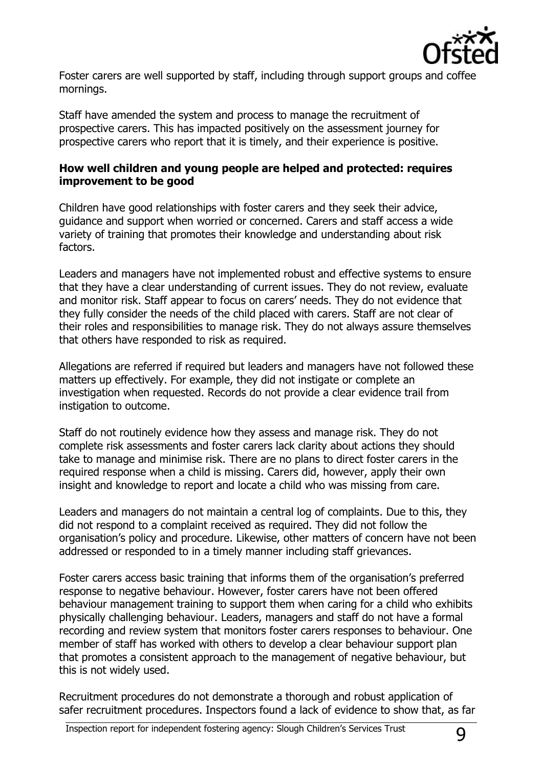

Foster carers are well supported by staff, including through support groups and coffee mornings.

Staff have amended the system and process to manage the recruitment of prospective carers. This has impacted positively on the assessment journey for prospective carers who report that it is timely, and their experience is positive.

### **How well children and young people are helped and protected: requires improvement to be good**

Children have good relationships with foster carers and they seek their advice, guidance and support when worried or concerned. Carers and staff access a wide variety of training that promotes their knowledge and understanding about risk factors.

Leaders and managers have not implemented robust and effective systems to ensure that they have a clear understanding of current issues. They do not review, evaluate and monitor risk. Staff appear to focus on carers' needs. They do not evidence that they fully consider the needs of the child placed with carers. Staff are not clear of their roles and responsibilities to manage risk. They do not always assure themselves that others have responded to risk as required.

Allegations are referred if required but leaders and managers have not followed these matters up effectively. For example, they did not instigate or complete an investigation when requested. Records do not provide a clear evidence trail from instigation to outcome.

Staff do not routinely evidence how they assess and manage risk. They do not complete risk assessments and foster carers lack clarity about actions they should take to manage and minimise risk. There are no plans to direct foster carers in the required response when a child is missing. Carers did, however, apply their own insight and knowledge to report and locate a child who was missing from care.

Leaders and managers do not maintain a central log of complaints. Due to this, they did not respond to a complaint received as required. They did not follow the organisation"s policy and procedure. Likewise, other matters of concern have not been addressed or responded to in a timely manner including staff grievances.

Foster carers access basic training that informs them of the organisation's preferred response to negative behaviour. However, foster carers have not been offered behaviour management training to support them when caring for a child who exhibits physically challenging behaviour. Leaders, managers and staff do not have a formal recording and review system that monitors foster carers responses to behaviour. One member of staff has worked with others to develop a clear behaviour support plan that promotes a consistent approach to the management of negative behaviour, but this is not widely used.

Recruitment procedures do not demonstrate a thorough and robust application of safer recruitment procedures. Inspectors found a lack of evidence to show that, as far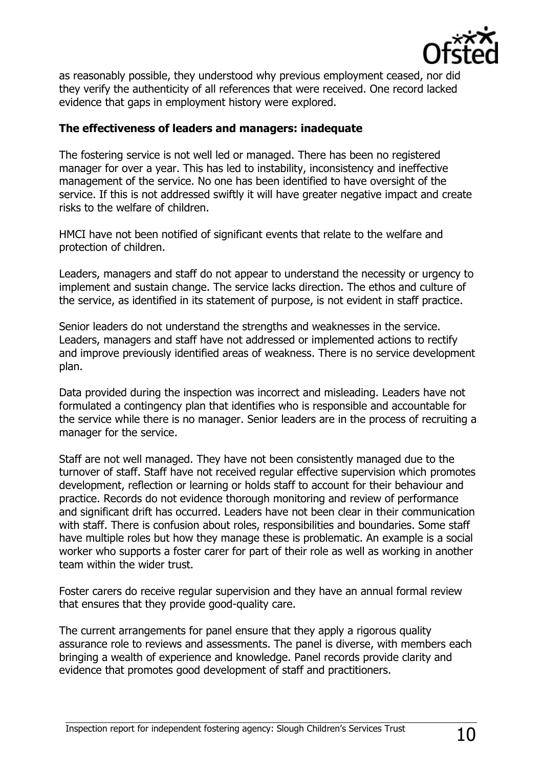

as reasonably possible, they understood why previous employment ceased, nor did they verify the authenticity of all references that were received. One record lacked evidence that gaps in employment history were explored.

#### **The effectiveness of leaders and managers: inadequate**

The fostering service is not well led or managed. There has been no registered manager for over a year. This has led to instability, inconsistency and ineffective management of the service. No one has been identified to have oversight of the service. If this is not addressed swiftly it will have greater negative impact and create risks to the welfare of children.

HMCI have not been notified of significant events that relate to the welfare and protection of children.

Leaders, managers and staff do not appear to understand the necessity or urgency to implement and sustain change. The service lacks direction. The ethos and culture of the service, as identified in its statement of purpose, is not evident in staff practice.

Senior leaders do not understand the strengths and weaknesses in the service. Leaders, managers and staff have not addressed or implemented actions to rectify and improve previously identified areas of weakness. There is no service development plan.

Data provided during the inspection was incorrect and misleading. Leaders have not formulated a contingency plan that identifies who is responsible and accountable for the service while there is no manager. Senior leaders are in the process of recruiting a manager for the service.

Staff are not well managed. They have not been consistently managed due to the turnover of staff. Staff have not received regular effective supervision which promotes development, reflection or learning or holds staff to account for their behaviour and practice. Records do not evidence thorough monitoring and review of performance and significant drift has occurred. Leaders have not been clear in their communication with staff. There is confusion about roles, responsibilities and boundaries. Some staff have multiple roles but how they manage these is problematic. An example is a social worker who supports a foster carer for part of their role as well as working in another team within the wider trust.

Foster carers do receive regular supervision and they have an annual formal review that ensures that they provide good-quality care.

The current arrangements for panel ensure that they apply a rigorous quality assurance role to reviews and assessments. The panel is diverse, with members each bringing a wealth of experience and knowledge. Panel records provide clarity and evidence that promotes good development of staff and practitioners.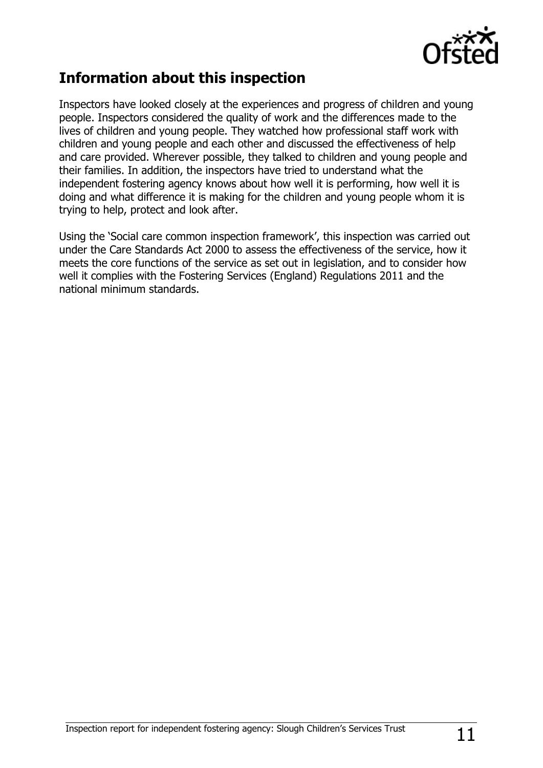

## **Information about this inspection**

Inspectors have looked closely at the experiences and progress of children and young people. Inspectors considered the quality of work and the differences made to the lives of children and young people. They watched how professional staff work with children and young people and each other and discussed the effectiveness of help and care provided. Wherever possible, they talked to children and young people and their families. In addition, the inspectors have tried to understand what the independent fostering agency knows about how well it is performing, how well it is doing and what difference it is making for the children and young people whom it is trying to help, protect and look after.

Using the 'Social care common inspection framework', this inspection was carried out under the Care Standards Act 2000 to assess the effectiveness of the service, how it meets the core functions of the service as set out in legislation, and to consider how well it complies with the Fostering Services (England) Regulations 2011 and the national minimum standards.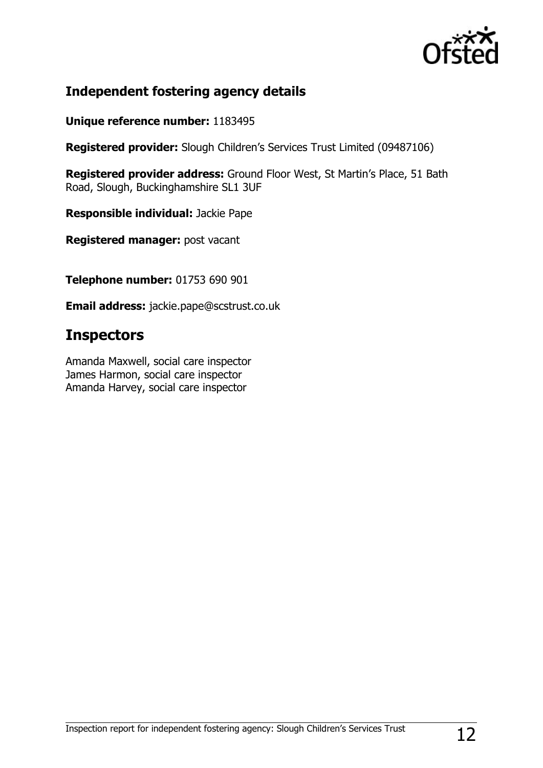

## **Independent fostering agency details**

**Unique reference number:** 1183495

**Registered provider:** Slough Children"s Services Trust Limited (09487106)

Registered provider address: Ground Floor West, St Martin's Place, 51 Bath Road, Slough, Buckinghamshire SL1 3UF

**Responsible individual:** Jackie Pape

**Registered manager:** post vacant

**Telephone number:** 01753 690 901

**Email address:** jackie.pape@scstrust.co.uk

## **Inspectors**

Amanda Maxwell, social care inspector James Harmon, social care inspector Amanda Harvey, social care inspector